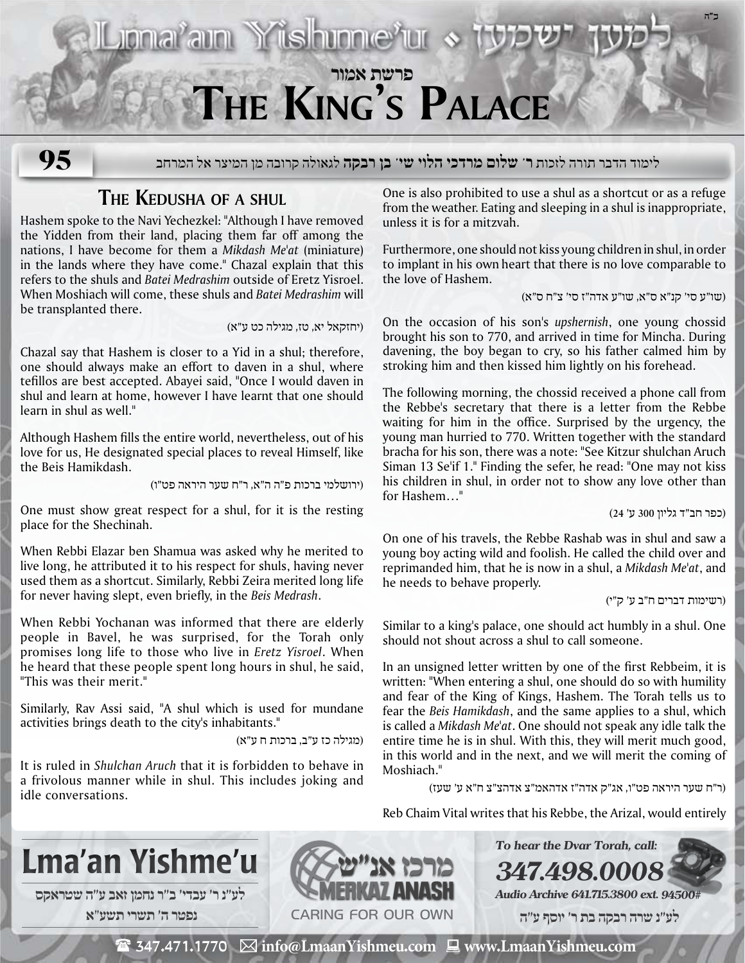

לימוד הדבר תורה לזכות **ר' שלום מרדכי הלוי שי' בן רבקה** לגאולה קרובה מן המיצר אל המרחב **95**

## **The Kedusha of a shul**

Hashem spoke to the Navi Yechezkel: "Although I have removed the Yidden from their land, placing them far off among the nations, I have become for them a *Mikdash Me'at* (miniature) in the lands where they have come." Chazal explain that this refers to the shuls and *Batei Medrashim* outside of Eretz Yisroel. When Moshiach will come, these shuls and *Batei Medrashim* will be transplanted there.

(יחזקאל יא, טז, מגילה כט ע"א)

Chazal say that Hashem is closer to a Yid in a shul; therefore, one should always make an effort to daven in a shul, where tefillos are best accepted. Abayei said, "Once I would daven in shul and learn at home, however I have learnt that one should learn in shul as well."

Although Hashem fills the entire world, nevertheless, out of his love for us, He designated special places to reveal Himself, like the Beis Hamikdash.

(ירושלמי ברכות פ"ה ה"א, ר"ח שער היראה פט"ו)

One must show great respect for a shul, for it is the resting place for the Shechinah.

When Rebbi Elazar ben Shamua was asked why he merited to live long, he attributed it to his respect for shuls, having never used them as a shortcut. Similarly, Rebbi Zeira merited long life for never having slept, even briefly, in the *Beis Medrash*.

When Rebbi Yochanan was informed that there are elderly people in Bavel, he was surprised, for the Torah only promises long life to those who live in *Eretz Yisroel*. When he heard that these people spent long hours in shul, he said, "This was their merit."

Similarly, Rav Assi said, "A shul which is used for mundane activities brings death to the city's inhabitants."

(מגילה כז ע"ב, ברכות ח ע"א)

It is ruled in *Shulchan Aruch* that it is forbidden to behave in a frivolous manner while in shul. This includes joking and idle conversations.

One is also prohibited to use a shul as a shortcut or as a refuge from the weather. Eating and sleeping in a shul is inappropriate, unless it is for a mitzvah.

Furthermore, one should not kiss young children in shul, in order to implant in his own heart that there is no love comparable to the love of Hashem.

(שו"ע סי' קנ"א ס"א, שו"ע אדה"ז סי' צ"ח ס"א)

**ב"ה**

On the occasion of his son's *upshernish*, one young chossid brought his son to 770, and arrived in time for Mincha. During davening, the boy began to cry, so his father calmed him by stroking him and then kissed him lightly on his forehead.

The following morning, the chossid received a phone call from the Rebbe's secretary that there is a letter from the Rebbe waiting for him in the office. Surprised by the urgency, the young man hurried to 770. Written together with the standard bracha for his son, there was a note: "See Kitzur shulchan Aruch Siman 13 Se'if 1." Finding the sefer, he read: "One may not kiss his children in shul, in order not to show any love other than for Hashem…"

(כפר חב"ד גליון 300 ע' 24)

On one of his travels, the Rebbe Rashab was in shul and saw a young boy acting wild and foolish. He called the child over and reprimanded him, that he is now in a shul, a *Mikdash Me'at*, and he needs to behave properly.

(רשימות דברים ח"ב ע' ק"י)

Similar to a king's palace, one should act humbly in a shul. One should not shout across a shul to call someone.

In an unsigned letter written by one of the first Rebbeim, it is written: "When entering a shul, one should do so with humility and fear of the King of Kings, Hashem. The Torah tells us to fear the *Beis Hamikdash*, and the same applies to a shul, which is called a *Mikdash Me'at*. One should not speak any idle talk the entire time he is in shul. With this, they will merit much good, in this world and in the next, and we will merit the coming of Moshiach."

(ר"ח שער היראה פט"ו, אג"ק אדה"ז אדהאמ"צ אדהצ"צ ח"א ע' שעז)

**To hear the Dvar Torah, call:**

Reb Chaim Vital writes that his Rebbe, the Arizal, would entirely

**347.498.0008**



 **לע"נ ר׳ עבדי׳ ב״ר נחמן זאב ע"ה שטראקס נפטר ה׳ תשרי תשע**"**א**



**Audio Archive 641.715.3800 ext. 94500#**

 **לע"נ שרה רבקה בת ר׳ יוסף ע"ה**